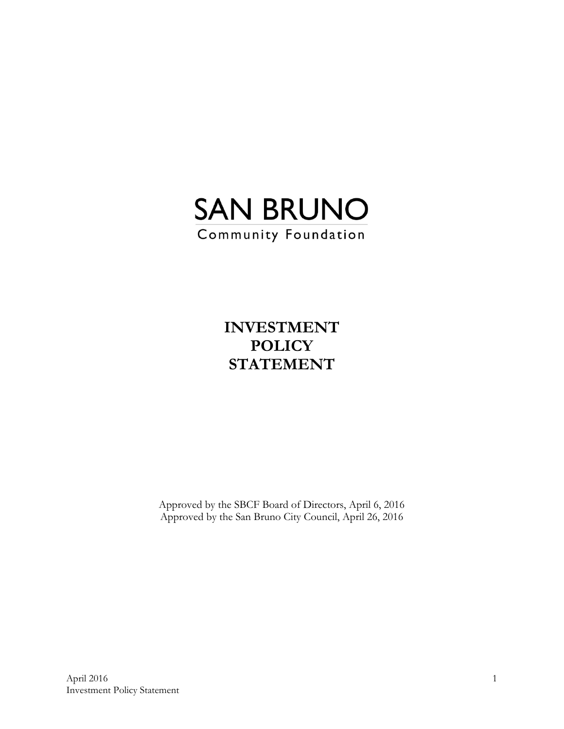

**INVESTMENT POLICY STATEMENT** 

Approved by the SBCF Board of Directors, April 6, 2016 Approved by the San Bruno City Council, April 26, 2016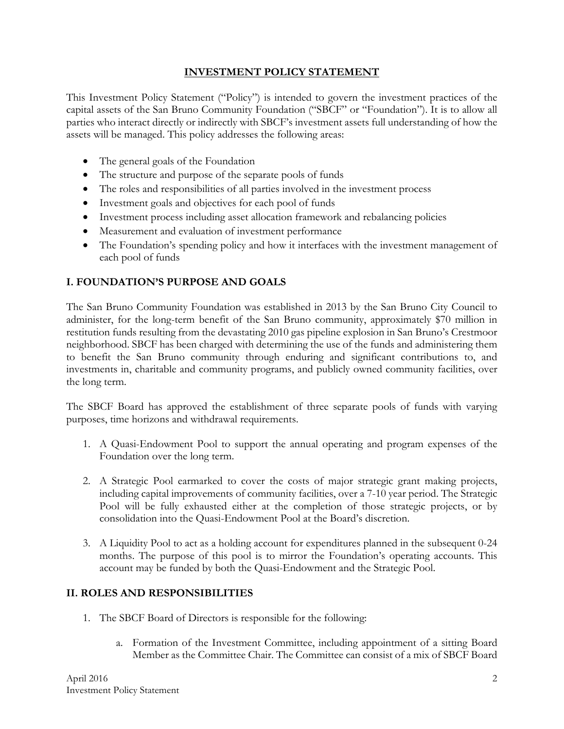#### **INVESTMENT POLICY STATEMENT**

This Investment Policy Statement ("Policy") is intended to govern the investment practices of the capital assets of the San Bruno Community Foundation ("SBCF" or "Foundation"). It is to allow all parties who interact directly or indirectly with SBCF's investment assets full understanding of how the assets will be managed. This policy addresses the following areas:

- The general goals of the Foundation
- The structure and purpose of the separate pools of funds
- The roles and responsibilities of all parties involved in the investment process
- Investment goals and objectives for each pool of funds
- Investment process including asset allocation framework and rebalancing policies
- Measurement and evaluation of investment performance
- The Foundation's spending policy and how it interfaces with the investment management of each pool of funds

#### **I. FOUNDATION'S PURPOSE AND GOALS**

The San Bruno Community Foundation was established in 2013 by the San Bruno City Council to administer, for the long-term benefit of the San Bruno community, approximately \$70 million in restitution funds resulting from the devastating 2010 gas pipeline explosion in San Bruno's Crestmoor neighborhood. SBCF has been charged with determining the use of the funds and administering them to benefit the San Bruno community through enduring and significant contributions to, and investments in, charitable and community programs, and publicly owned community facilities, over the long term.

The SBCF Board has approved the establishment of three separate pools of funds with varying purposes, time horizons and withdrawal requirements.

- 1. A Quasi-Endowment Pool to support the annual operating and program expenses of the Foundation over the long term.
- 2. A Strategic Pool earmarked to cover the costs of major strategic grant making projects, including capital improvements of community facilities, over a 7-10 year period. The Strategic Pool will be fully exhausted either at the completion of those strategic projects, or by consolidation into the Quasi-Endowment Pool at the Board's discretion.
- 3. A Liquidity Pool to act as a holding account for expenditures planned in the subsequent 0-24 months. The purpose of this pool is to mirror the Foundation's operating accounts. This account may be funded by both the Quasi-Endowment and the Strategic Pool.

#### **II. ROLES AND RESPONSIBILITIES**

- 1. The SBCF Board of Directors is responsible for the following:
	- a. Formation of the Investment Committee, including appointment of a sitting Board Member as the Committee Chair. The Committee can consist of a mix of SBCF Board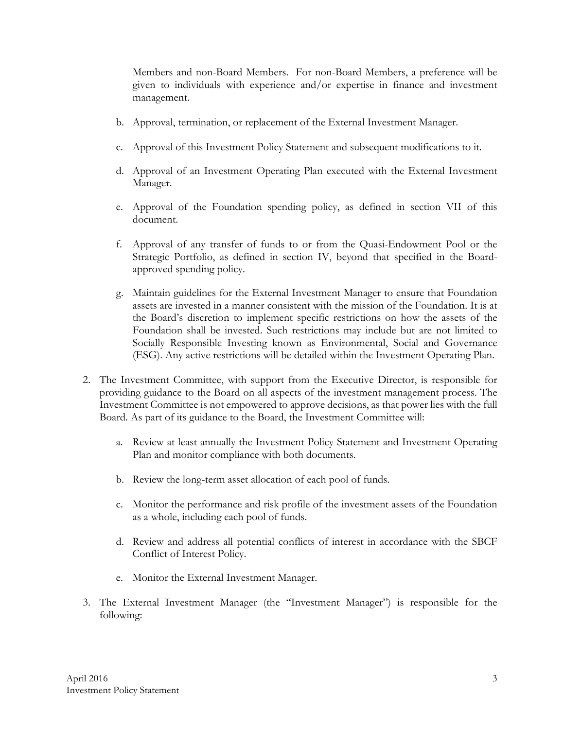Members and non-Board Members. For non-Board Members, a preference will be given to individuals with experience and/or expertise in finance and investment management.

- b. Approval, termination, or replacement of the External Investment Manager.
- c. Approval of this Investment Policy Statement and subsequent modifications to it.
- d. Approval of an Investment Operating Plan executed with the External Investment Manager.
- e. Approval of the Foundation spending policy, as defined in section VII of this document.
- f. Approval of any transfer of funds to or from the Quasi-Endowment Pool or the Strategic Portfolio, as defined in section IV, beyond that specified in the Boardapproved spending policy.
- g. Maintain guidelines for the External Investment Manager to ensure that Foundation assets are invested in a manner consistent with the mission of the Foundation. It is at the Board's discretion to implement specific restrictions on how the assets of the Foundation shall be invested. Such restrictions may include but are not limited to Socially Responsible Investing known as Environmental, Social and Governance (ESG). Any active restrictions will be detailed within the Investment Operating Plan.
- 2. The Investment Committee, with support from the Executive Director, is responsible for providing guidance to the Board on all aspects of the investment management process. The Investment Committee is not empowered to approve decisions, as that power lies with the full Board. As part of its guidance to the Board, the Investment Committee will:
	- a. Review at least annually the Investment Policy Statement and Investment Operating Plan and monitor compliance with both documents.
	- b. Review the long-term asset allocation of each pool of funds.
	- c. Monitor the performance and risk profile of the investment assets of the Foundation as a whole, including each pool of funds.
	- d. Review and address all potential conflicts of interest in accordance with the SBCF Conflict of Interest Policy.
	- e. Monitor the External Investment Manager.
- 3. The External Investment Manager (the "Investment Manager") is responsible for the following: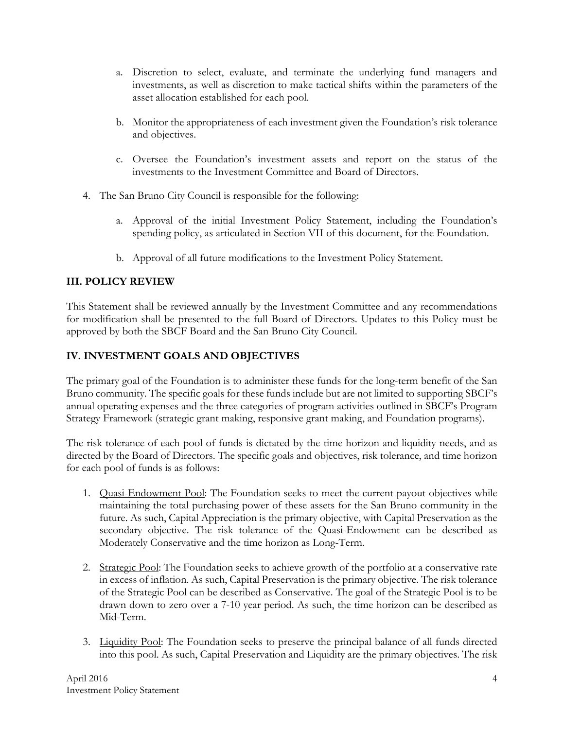- a. Discretion to select, evaluate, and terminate the underlying fund managers and investments, as well as discretion to make tactical shifts within the parameters of the asset allocation established for each pool.
- b. Monitor the appropriateness of each investment given the Foundation's risk tolerance and objectives.
- c. Oversee the Foundation's investment assets and report on the status of the investments to the Investment Committee and Board of Directors.
- 4. The San Bruno City Council is responsible for the following:
	- a. Approval of the initial Investment Policy Statement, including the Foundation's spending policy, as articulated in Section VII of this document, for the Foundation.
	- b. Approval of all future modifications to the Investment Policy Statement.

# **III. POLICY REVIEW**

This Statement shall be reviewed annually by the Investment Committee and any recommendations for modification shall be presented to the full Board of Directors. Updates to this Policy must be approved by both the SBCF Board and the San Bruno City Council.

## **IV. INVESTMENT GOALS AND OBJECTIVES**

The primary goal of the Foundation is to administer these funds for the long-term benefit of the San Bruno community. The specific goals for these funds include but are not limited to supporting SBCF's annual operating expenses and the three categories of program activities outlined in SBCF's Program Strategy Framework (strategic grant making, responsive grant making, and Foundation programs).

The risk tolerance of each pool of funds is dictated by the time horizon and liquidity needs, and as directed by the Board of Directors. The specific goals and objectives, risk tolerance, and time horizon for each pool of funds is as follows:

- 1. Quasi-Endowment Pool: The Foundation seeks to meet the current payout objectives while maintaining the total purchasing power of these assets for the San Bruno community in the future. As such, Capital Appreciation is the primary objective, with Capital Preservation as the secondary objective. The risk tolerance of the Quasi-Endowment can be described as Moderately Conservative and the time horizon as Long-Term.
- 2. Strategic Pool: The Foundation seeks to achieve growth of the portfolio at a conservative rate in excess of inflation. As such, Capital Preservation is the primary objective. The risk tolerance of the Strategic Pool can be described as Conservative. The goal of the Strategic Pool is to be drawn down to zero over a 7-10 year period. As such, the time horizon can be described as Mid-Term.
- 3. Liquidity Pool: The Foundation seeks to preserve the principal balance of all funds directed into this pool. As such, Capital Preservation and Liquidity are the primary objectives. The risk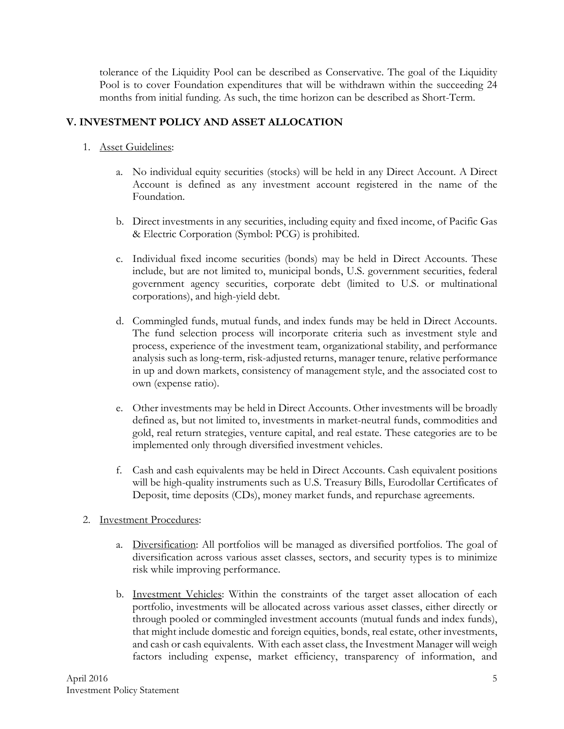tolerance of the Liquidity Pool can be described as Conservative. The goal of the Liquidity Pool is to cover Foundation expenditures that will be withdrawn within the succeeding 24 months from initial funding. As such, the time horizon can be described as Short-Term.

### **V. INVESTMENT POLICY AND ASSET ALLOCATION**

- 1. Asset Guidelines:
	- a. No individual equity securities (stocks) will be held in any Direct Account. A Direct Account is defined as any investment account registered in the name of the Foundation.
	- b. Direct investments in any securities, including equity and fixed income, of Pacific Gas & Electric Corporation (Symbol: PCG) is prohibited.
	- c. Individual fixed income securities (bonds) may be held in Direct Accounts. These include, but are not limited to, municipal bonds, U.S. government securities, federal government agency securities, corporate debt (limited to U.S. or multinational corporations), and high-yield debt.
	- d. Commingled funds, mutual funds, and index funds may be held in Direct Accounts. The fund selection process will incorporate criteria such as investment style and process, experience of the investment team, organizational stability, and performance analysis such as long-term, risk-adjusted returns, manager tenure, relative performance in up and down markets, consistency of management style, and the associated cost to own (expense ratio).
	- e. Other investments may be held in Direct Accounts. Other investments will be broadly defined as, but not limited to, investments in market-neutral funds, commodities and gold, real return strategies, venture capital, and real estate. These categories are to be implemented only through diversified investment vehicles.
	- f. Cash and cash equivalents may be held in Direct Accounts. Cash equivalent positions will be high-quality instruments such as U.S. Treasury Bills, Eurodollar Certificates of Deposit, time deposits (CDs), money market funds, and repurchase agreements.

#### 2. Investment Procedures:

- a. Diversification: All portfolios will be managed as diversified portfolios. The goal of diversification across various asset classes, sectors, and security types is to minimize risk while improving performance.
- b. Investment Vehicles: Within the constraints of the target asset allocation of each portfolio, investments will be allocated across various asset classes, either directly or through pooled or commingled investment accounts (mutual funds and index funds), that might include domestic and foreign equities, bonds, real estate, other investments, and cash or cash equivalents. With each asset class, the Investment Manager will weigh factors including expense, market efficiency, transparency of information, and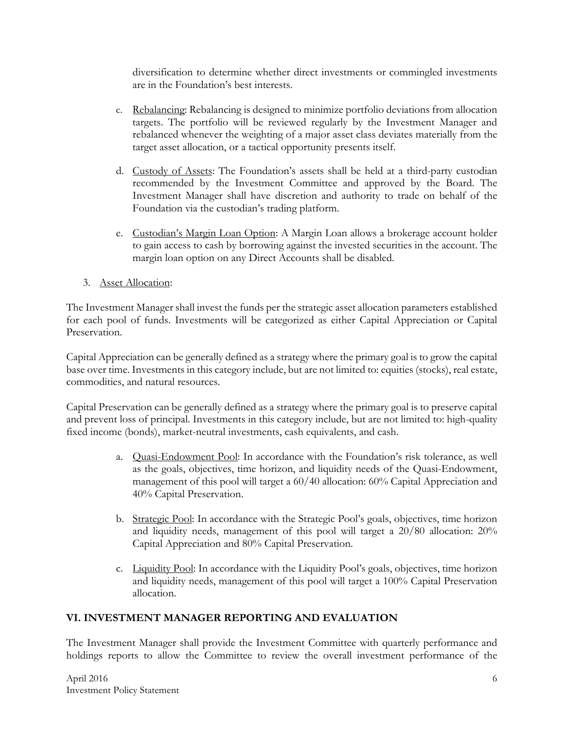diversification to determine whether direct investments or commingled investments are in the Foundation's best interests.

- c. Rebalancing: Rebalancing is designed to minimize portfolio deviations from allocation targets. The portfolio will be reviewed regularly by the Investment Manager and rebalanced whenever the weighting of a major asset class deviates materially from the target asset allocation, or a tactical opportunity presents itself.
- d. Custody of Assets: The Foundation's assets shall be held at a third-party custodian recommended by the Investment Committee and approved by the Board. The Investment Manager shall have discretion and authority to trade on behalf of the Foundation via the custodian's trading platform.
- e. Custodian's Margin Loan Option: A Margin Loan allows a brokerage account holder to gain access to cash by borrowing against the invested securities in the account. The margin loan option on any Direct Accounts shall be disabled.
- 3. Asset Allocation:

The Investment Manager shall invest the funds per the strategic asset allocation parameters established for each pool of funds. Investments will be categorized as either Capital Appreciation or Capital Preservation.

Capital Appreciation can be generally defined as a strategy where the primary goal is to grow the capital base over time. Investments in this category include, but are not limited to: equities (stocks), real estate, commodities, and natural resources.

Capital Preservation can be generally defined as a strategy where the primary goal is to preserve capital and prevent loss of principal. Investments in this category include, but are not limited to: high-quality fixed income (bonds), market-neutral investments, cash equivalents, and cash.

- a. Quasi-Endowment Pool: In accordance with the Foundation's risk tolerance, as well as the goals, objectives, time horizon, and liquidity needs of the Quasi-Endowment, management of this pool will target a 60/40 allocation: 60% Capital Appreciation and 40% Capital Preservation.
- b. Strategic Pool: In accordance with the Strategic Pool's goals, objectives, time horizon and liquidity needs, management of this pool will target a 20/80 allocation: 20% Capital Appreciation and 80% Capital Preservation.
- c. Liquidity Pool: In accordance with the Liquidity Pool's goals, objectives, time horizon and liquidity needs, management of this pool will target a 100% Capital Preservation allocation.

#### **VI. INVESTMENT MANAGER REPORTING AND EVALUATION**

The Investment Manager shall provide the Investment Committee with quarterly performance and holdings reports to allow the Committee to review the overall investment performance of the